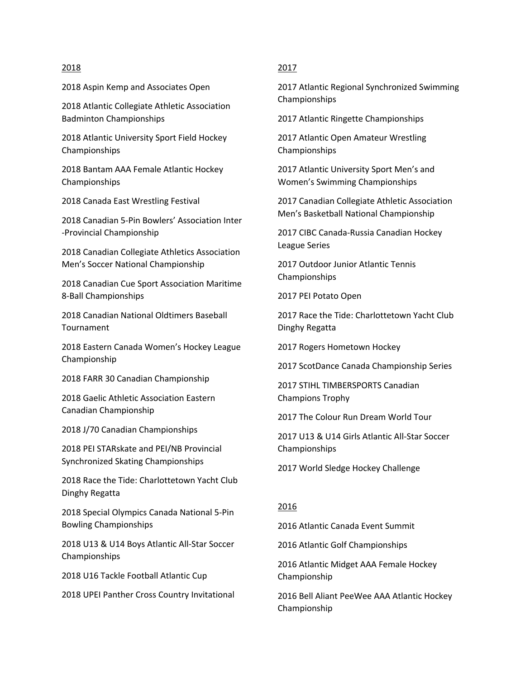### 2018

2018 Aspin Kemp and Associates Open

2018 Atlantic Collegiate Athletic Association Badminton Championships

2018 Atlantic University Sport Field Hockey Championships

2018 Bantam AAA Female Atlantic Hockey Championships

2018 Canada East Wrestling Festival

2018 Canadian 5-Pin Bowlers' Association Inter -Provincial Championship

2018 Canadian Collegiate Athletics Association Men's Soccer National Championship

2018 Canadian Cue Sport Association Maritime 8-Ball Championships

2018 Canadian National Oldtimers Baseball Tournament

2018 Eastern Canada Women's Hockey League Championship

2018 FARR 30 Canadian Championship

2018 Gaelic Athletic Association Eastern Canadian Championship

2018 J/70 Canadian Championships

2018 PEI STARskate and PEI/NB Provincial Synchronized Skating Championships

2018 Race the Tide: Charlottetown Yacht Club Dinghy Regatta

2018 Special Olympics Canada National 5-Pin Bowling Championships

2018 U13 & U14 Boys Atlantic All-Star Soccer Championships

2018 U16 Tackle Football Atlantic Cup

2018 UPEI Panther Cross Country Invitational

## 2017

2017 Atlantic Regional Synchronized Swimming Championships

2017 Atlantic Ringette Championships

2017 Atlantic Open Amateur Wrestling Championships

2017 Atlantic University Sport Men's and Women's Swimming Championships

2017 Canadian Collegiate Athletic Association Men's Basketball National Championship

2017 CIBC Canada-Russia Canadian Hockey League Series

2017 Outdoor Junior Atlantic Tennis Championships

2017 PEI Potato Open

2017 Race the Tide: Charlottetown Yacht Club Dinghy Regatta

2017 Rogers Hometown Hockey

2017 ScotDance Canada Championship Series

2017 STIHL TIMBERSPORTS Canadian Champions Trophy

2017 The Colour Run Dream World Tour

2017 U13 & U14 Girls Atlantic All-Star Soccer Championships

2017 World Sledge Hockey Challenge

## 2016

2016 Atlantic Canada Event Summit

2016 Atlantic Golf Championships

2016 Atlantic Midget AAA Female Hockey Championship

2016 Bell Aliant PeeWee AAA Atlantic Hockey Championship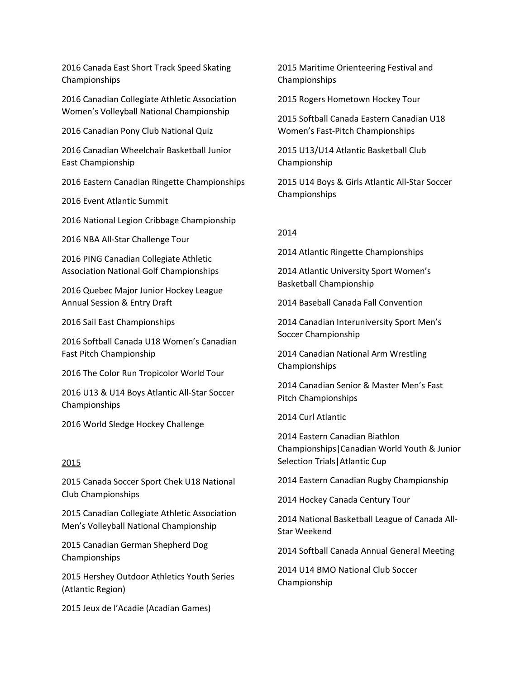2016 Canada East Short Track Speed Skating Championships

2016 Canadian Collegiate Athletic Association Women's Volleyball National Championship

2016 Canadian Pony Club National Quiz

2016 Canadian Wheelchair Basketball Junior East Championship

2016 Eastern Canadian Ringette Championships

2016 Event Atlantic Summit

2016 National Legion Cribbage Championship

2016 NBA All-Star Challenge Tour

2016 PING Canadian Collegiate Athletic Association National Golf Championships

2016 Quebec Major Junior Hockey League Annual Session & Entry Draft

2016 Sail East Championships

2016 Softball Canada U18 Women's Canadian Fast Pitch Championship

2016 The Color Run Tropicolor World Tour

2016 U13 & U14 Boys Atlantic All-Star Soccer Championships

2016 World Sledge Hockey Challenge

#### 2015

2015 Canada Soccer Sport Chek U18 National Club Championships

2015 Canadian Collegiate Athletic Association Men's Volleyball National Championship

2015 Canadian German Shepherd Dog Championships

2015 Hershey Outdoor Athletics Youth Series (Atlantic Region)

2015 Jeux de l'Acadie (Acadian Games)

2015 Maritime Orienteering Festival and Championships

2015 Rogers Hometown Hockey Tour

2015 Softball Canada Eastern Canadian U18 Women's Fast-Pitch Championships

2015 U13/U14 Atlantic Basketball Club Championship

2015 U14 Boys & Girls Atlantic All-Star Soccer Championships

#### 2014

2014 Atlantic Ringette Championships

2014 Atlantic University Sport Women's Basketball Championship

2014 Baseball Canada Fall Convention

2014 Canadian Interuniversity Sport Men's Soccer Championship

2014 Canadian National Arm Wrestling Championships

2014 Canadian Senior & Master Men's Fast Pitch Championships

2014 Curl Atlantic

2014 Eastern Canadian Biathlon Championships|Canadian World Youth & Junior Selection Trials|Atlantic Cup

2014 Eastern Canadian Rugby Championship

2014 Hockey Canada Century Tour

2014 National Basketball League of Canada All-Star Weekend

2014 Softball Canada Annual General Meeting

2014 U14 BMO National Club Soccer Championship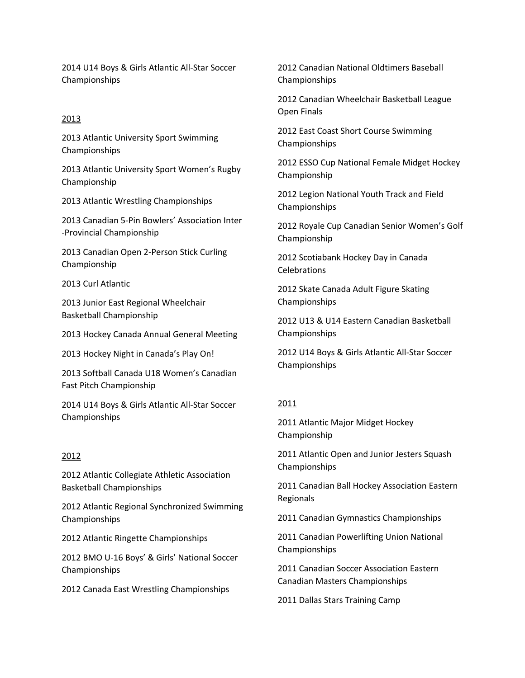2014 U14 Boys & Girls Atlantic All-Star Soccer Championships

# 2013

2013 Atlantic University Sport Swimming Championships

2013 Atlantic University Sport Women's Rugby Championship

2013 Atlantic Wrestling Championships

2013 Canadian 5-Pin Bowlers' Association Inter -Provincial Championship

2013 Canadian Open 2-Person Stick Curling Championship

2013 Curl Atlantic

2013 Junior East Regional Wheelchair Basketball Championship

2013 Hockey Canada Annual General Meeting

2013 Hockey Night in Canada's Play On!

2013 Softball Canada U18 Women's Canadian Fast Pitch Championship

2014 U14 Boys & Girls Atlantic All-Star Soccer Championships

# 2012

2012 Atlantic Collegiate Athletic Association Basketball Championships

2012 Atlantic Regional Synchronized Swimming Championships

2012 Atlantic Ringette Championships

2012 BMO U-16 Boys' & Girls' National Soccer Championships

2012 Canada East Wrestling Championships

2012 Canadian National Oldtimers Baseball Championships

2012 Canadian Wheelchair Basketball League Open Finals

2012 East Coast Short Course Swimming Championships

2012 ESSO Cup National Female Midget Hockey Championship

2012 Legion National Youth Track and Field Championships

2012 Royale Cup Canadian Senior Women's Golf Championship

2012 Scotiabank Hockey Day in Canada Celebrations

2012 Skate Canada Adult Figure Skating Championships

2012 U13 & U14 Eastern Canadian Basketball Championships

2012 U14 Boys & Girls Atlantic All-Star Soccer Championships

# 2011

2011 Atlantic Major Midget Hockey Championship

2011 Atlantic Open and Junior Jesters Squash Championships

2011 Canadian Ball Hockey Association Eastern Regionals

2011 Canadian Gymnastics Championships

2011 Canadian Powerlifting Union National Championships

2011 Canadian Soccer Association Eastern Canadian Masters Championships

2011 Dallas Stars Training Camp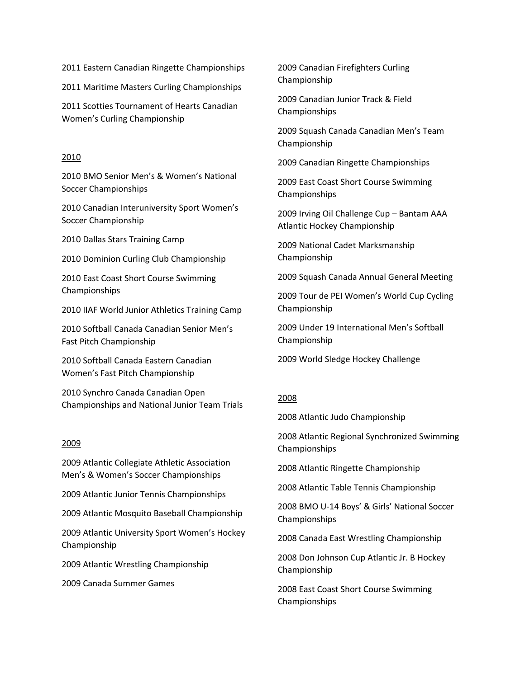2011 Eastern Canadian Ringette Championships

2011 Maritime Masters Curling Championships

2011 Scotties Tournament of Hearts Canadian Women's Curling Championship

#### 2010

2010 BMO Senior Men's & Women's National Soccer Championships

2010 Canadian Interuniversity Sport Women's Soccer Championship

2010 Dallas Stars Training Camp

2010 Dominion Curling Club Championship

2010 East Coast Short Course Swimming Championships

2010 IIAF World Junior Athletics Training Camp

2010 Softball Canada Canadian Senior Men's Fast Pitch Championship

2010 Softball Canada Eastern Canadian Women's Fast Pitch Championship

2010 Synchro Canada Canadian Open Championships and National Junior Team Trials

### 2009

2009 Atlantic Collegiate Athletic Association Men's & Women's Soccer Championships

2009 Atlantic Junior Tennis Championships

2009 Atlantic Mosquito Baseball Championship

2009 Atlantic University Sport Women's Hockey Championship

2009 Atlantic Wrestling Championship

2009 Canada Summer Games

2009 Canadian Firefighters Curling Championship

2009 Canadian Junior Track & Field Championships

2009 Squash Canada Canadian Men's Team Championship

2009 Canadian Ringette Championships

2009 East Coast Short Course Swimming Championships

2009 Irving Oil Challenge Cup – Bantam AAA Atlantic Hockey Championship

2009 National Cadet Marksmanship Championship

2009 Squash Canada Annual General Meeting

2009 Tour de PEI Women's World Cup Cycling Championship

2009 Under 19 International Men's Softball Championship

2009 World Sledge Hockey Challenge

#### 2008

2008 Atlantic Judo Championship

2008 Atlantic Regional Synchronized Swimming Championships

2008 Atlantic Ringette Championship

2008 Atlantic Table Tennis Championship

2008 BMO U-14 Boys' & Girls' National Soccer Championships

2008 Canada East Wrestling Championship

2008 Don Johnson Cup Atlantic Jr. B Hockey Championship

2008 East Coast Short Course Swimming Championships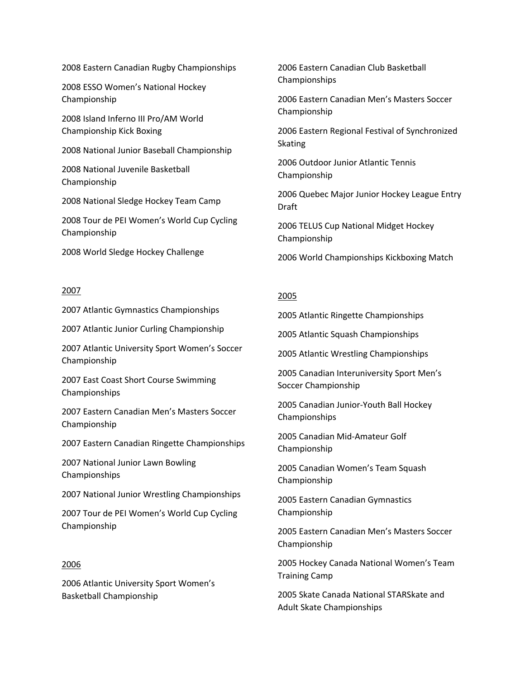2008 Eastern Canadian Rugby Championships

2008 ESSO Women's National Hockey Championship

2008 Island Inferno III Pro/AM World Championship Kick Boxing

2008 National Junior Baseball Championship

2008 National Juvenile Basketball Championship

2008 National Sledge Hockey Team Camp

2008 Tour de PEI Women's World Cup Cycling Championship

2008 World Sledge Hockey Challenge

## 2007

2007 Atlantic Gymnastics Championships

2007 Atlantic Junior Curling Championship

2007 Atlantic University Sport Women's Soccer Championship

2007 East Coast Short Course Swimming Championships

2007 Eastern Canadian Men's Masters Soccer Championship

2007 Eastern Canadian Ringette Championships

2007 National Junior Lawn Bowling Championships

2007 National Junior Wrestling Championships

2007 Tour de PEI Women's World Cup Cycling Championship

## 2006

2006 Atlantic University Sport Women's Basketball Championship

2006 Eastern Canadian Club Basketball Championships

2006 Eastern Canadian Men's Masters Soccer Championship

2006 Eastern Regional Festival of Synchronized Skating

2006 Outdoor Junior Atlantic Tennis Championship

2006 Quebec Major Junior Hockey League Entry Draft

2006 TELUS Cup National Midget Hockey Championship

2006 World Championships Kickboxing Match

## 2005

2005 Atlantic Ringette Championships

2005 Atlantic Squash Championships

2005 Atlantic Wrestling Championships

2005 Canadian Interuniversity Sport Men's Soccer Championship

2005 Canadian Junior-Youth Ball Hockey Championships

2005 Canadian Mid-Amateur Golf Championship

2005 Canadian Women's Team Squash Championship

2005 Eastern Canadian Gymnastics Championship

2005 Eastern Canadian Men's Masters Soccer Championship

2005 Hockey Canada National Women's Team Training Camp

2005 Skate Canada National STARSkate and Adult Skate Championships